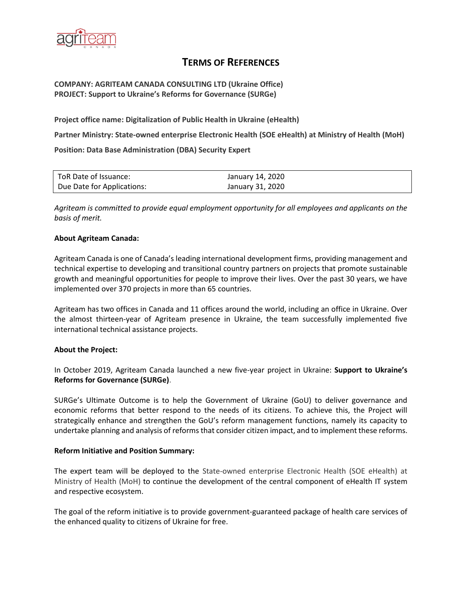

# **TERMS OF REFERENCES**

## **COMPANY: AGRITEAM CANADA CONSULTING LTD (Ukraine Office) PROJECT: Support to Ukraine's Reforms for Governance (SURGe)**

**Project office name: Digitalization of Public Health in Ukraine (eHealth)**

**Partner Ministry: State-owned enterprise Electronic Health (SOE eHealth) at Ministry of Health (MoH)**

**Position: Data Base Administration (DBA) Security Expert**

| ToR Date of Issuance:      | January 14, 2020 |
|----------------------------|------------------|
| Due Date for Applications: | January 31, 2020 |

*Agriteam is committed to provide equal employment opportunity for all employees and applicants on the basis of merit.*

#### **About Agriteam Canada:**

Agriteam Canada is one of Canada's leading international development firms, providing management and technical expertise to developing and transitional country partners on projects that promote sustainable growth and meaningful opportunities for people to improve their lives. Over the past 30 years, we have implemented over 370 projects in more than 65 countries.

Agriteam has two offices in Canada and 11 offices around the world, including an office in Ukraine. Over the almost thirteen-year of Agriteam presence in Ukraine, the team successfully implemented five international technical assistance projects.

#### **About the Project:**

In October 2019, Agriteam Canada launched a new five-year project in Ukraine: **Support to Ukraine's Reforms for Governance (SURGe)**.

SURGe's Ultimate Outcome is to help the Government of Ukraine (GoU) to deliver governance and economic reforms that better respond to the needs of its citizens. To achieve this, the Project will strategically enhance and strengthen the GoU's reform management functions, namely its capacity to undertake planning and analysis of reforms that consider citizen impact, and to implement these reforms.

#### **Reform Initiative and Position Summary:**

The expert team will be deployed to the State-owned enterprise Electronic Health (SOE eHealth) at Ministry of Health (MoH) to continue the development of the central component of eHealth IT system and respective ecosystem.

The goal of the reform initiative is to provide government-guaranteed package of health care services of the enhanced quality to citizens of Ukraine for free.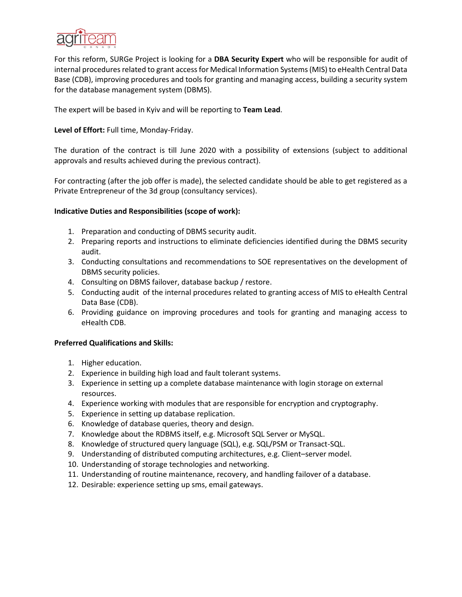

For this reform, SURGe Project is looking for а **DBA Security Expert** who will be responsible for audit of internal procedures related to grant access for Medical Information Systems (MIS) to eHealth Central Data Base (CDB), improving procedures and tools for granting and managing access, building a security system for the database management system (DBMS).

The expert will be based in Kyiv and will be reporting to **Team Lead**.

# **Level of Effort:** Full time, Monday-Friday.

The duration of the contract is till June 2020 with a possibility of extensions (subject to additional approvals and results achieved during the previous contract).

For contracting (after the job offer is made), the selected candidate should be able to get registered as a Private Entrepreneur of the 3d group (consultancy services).

## **Indicative Duties and Responsibilities (scope of work):**

- 1. Preparation and conducting of DBMS security audit.
- 2. Preparing reports and instructions to eliminate deficiencies identified during the DBMS security audit.
- 3. Conducting consultations and recommendations to SOE representatives on the development of DBMS security policies.
- 4. Consulting on DBMS failover, database backup / restore.
- 5. Conducting audit of the internal procedures related to granting access of MIS to eHealth Central Data Base (CDB).
- 6. Providing guidance on improving procedures and tools for granting and managing access to eHealth CDB.

## **Preferred Qualifications and Skills:**

- 1. Higher education.
- 2. Experience in building high load and fault tolerant systems.
- 3. Experience in setting up a complete database maintenance with logіn storage on external resources.
- 4. Experience working with modules that are responsible for encryption and cryptography.
- 5. Experience in setting up database replication.
- 6. Knowledge of database queries, theory and design.
- 7. Knowledge about the RDBMS itself, e.g. Microsoft SQL Server or MySQL.
- 8. Knowledge of structured query language (SQL), e.g. SQL/PSM or Transact-SQL.
- 9. Understanding of distributed computing architectures, e.g. Client–server model.
- 10. Understanding of storage technologies and networking.
- 11. Understanding of routine maintenance, recovery, and handling failover of a database.
- 12. Desirable: experience setting up sms, email gateways.